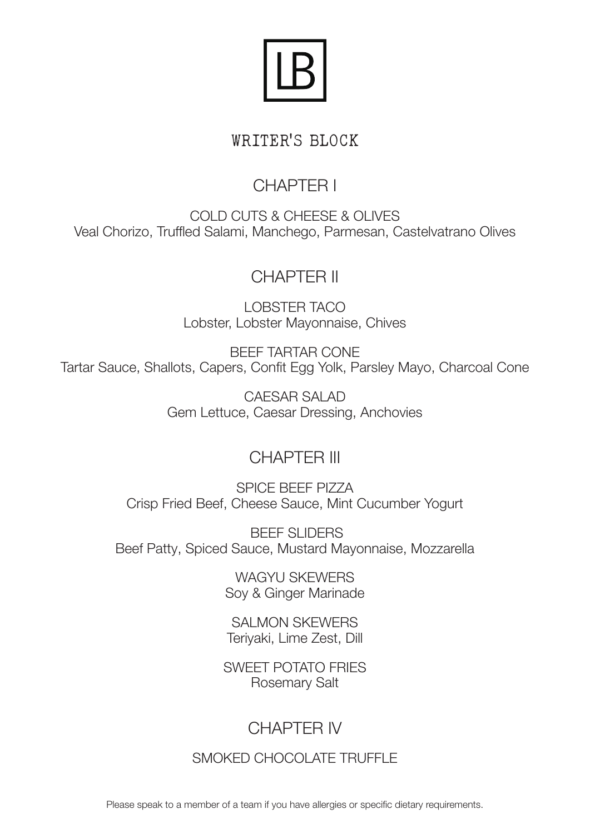

#### WRITER'S BLOCK

# CHAPTER I

COLD CUTS & CHEESE & OLIVES Veal Chorizo, Truffled Salami, Manchego, Parmesan, Castelvatrano Olives

#### CHAPTER II

LOBSTER TACO Lobster, Lobster Mayonnaise, Chives

BEEF TARTAR CONE Tartar Sauce, Shallots, Capers, Confit Egg Yolk, Parsley Mayo, Charcoal Cone

> CAESAR SALAD Gem Lettuce, Caesar Dressing, Anchovies

### CHAPTER III

SPICE BEEF PIZZA Crisp Fried Beef, Cheese Sauce, Mint Cucumber Yogurt

 BEEF SLIDERS Beef Patty, Spiced Sauce, Mustard Mayonnaise, Mozzarella

> WAGYU SKEWERS Soy & Ginger Marinade

SALMON SKEWERS Teriyaki, Lime Zest, Dill

SWEET POTATO FRIES Rosemary Salt

## CHAPTER IV

SMOKED CHOCOLATE TRUFFLE

Please speak to a member of a team if you have allergies or specific dietary requirements.